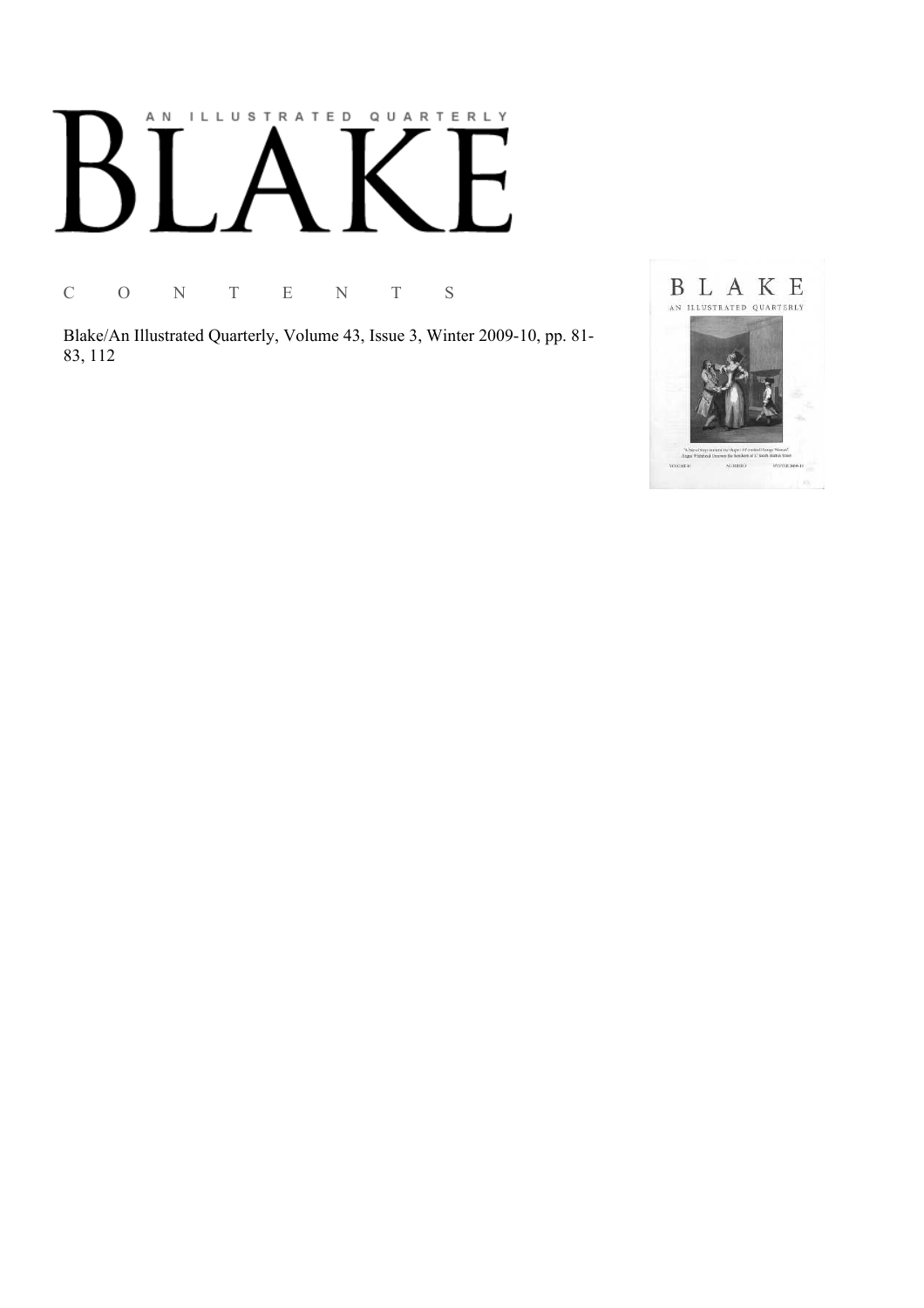# AN ILLUSTRATED QUARTERLY

C O N T E N T S

Blake/An Illustrated Quarterly, Volume 43, Issue 3, Winter 2009-10, pp. 81-83, 112

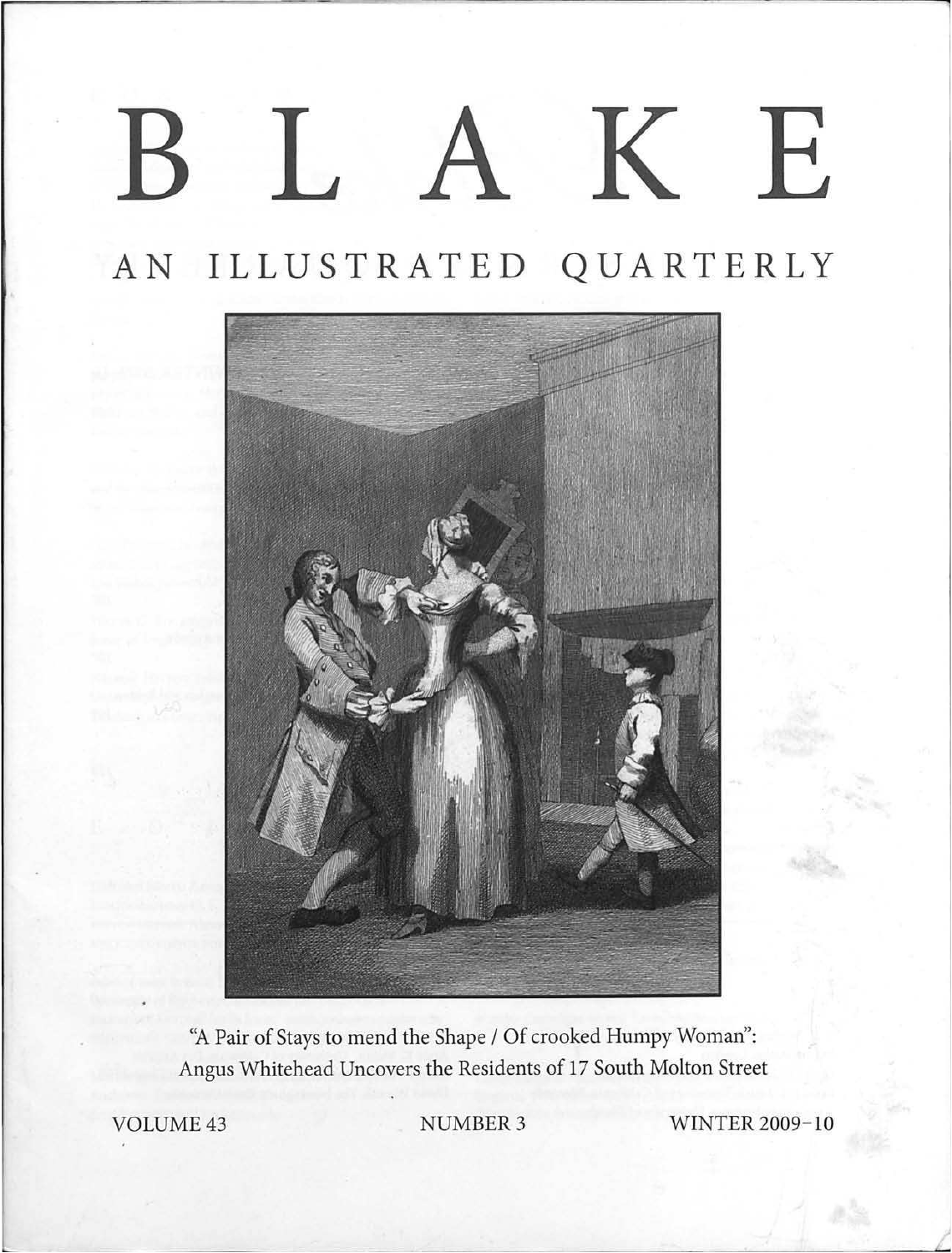# BLAKE

## AN ILLUSTRATED QUARTERLY



"A Pair of Stays to mend the Shape / Of crooked Humpy Woman": Angus Whitehead Uncovers the Residents of 17 South Molton Street

VOLUME 43 NUMBER 3 WINTER 2009-10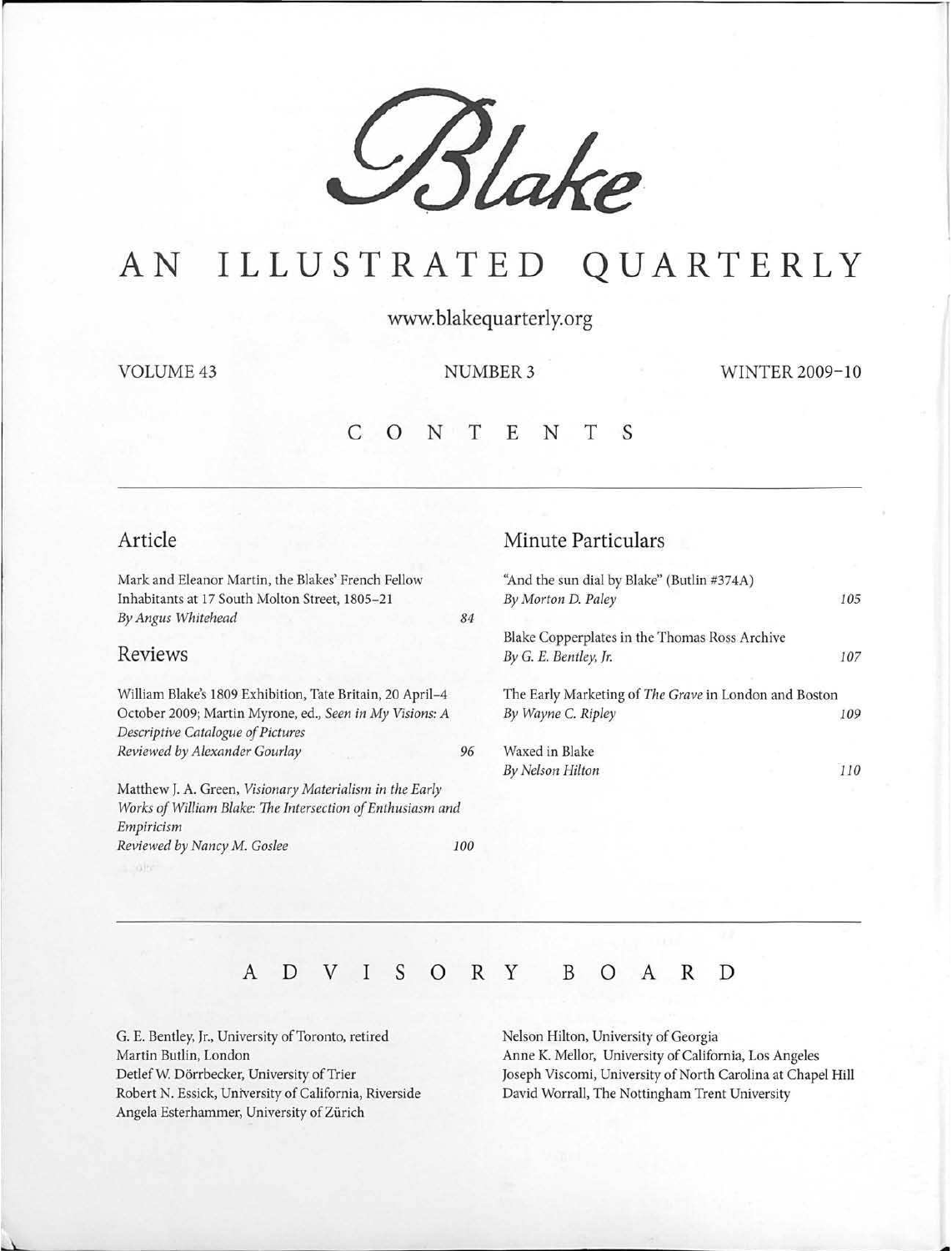

# AN ILLUSTRATED QUARTERLY

www.blakequarterly.org

VOLUME 43 NUMBER 3 WINTER 2009-10

### c 0 N T E N T s

#### Article

Mark and Eleanor Martin, the Blakes' French Fellow Inhabitants at 17 South Molton Street, 1805-21 *By Angus Whitehead* 

#### Reviews

William Blake's 1809 Exhibition, Tate Britain, 20 April-4 October 2009; Martin Myrone, ed., *Seen in My Visions: A Descriptive Catalogue of Pictures Reviewed by Alexander Gourlay* 

Matthew J. A. Green, *Visionary Materialism in the Early Works of William Blake: The Intersection of Enthusiasm and Empiricism Reviewed by Nancy* M. *Goslee* 100

#### Minute Particulars

|    | "And the sun dial by Blake" (Butlin #374A)            |     |
|----|-------------------------------------------------------|-----|
|    | By Morton D. Paley                                    | 105 |
| 84 |                                                       |     |
|    | Blake Copperplates in the Thomas Ross Archive         |     |
|    | By G. E. Bentley, Jr.                                 | 107 |
|    | The Early Marketing of The Grave in London and Boston |     |
|    | By Wayne C. Ripley                                    | 109 |
| 96 | Waxed in Blake                                        |     |
|    | By Nelson Hilton                                      | 110 |
|    |                                                       |     |

### A D V I s 0 R y B 0 A R D

G. E. Bentley, Jr., University of Toronto, retired Martin Butlin, London Detlef W. Dörrbecker, University of Trier Robert N. Essick, University of California, Riverside Angela Esterhammer, University of Zürich

Nelson Hilton, University of Georgia Anne K. Mellor, University of California, Los Angeles Joseph Viscomi, University of North Carolina at Chapel Hill David Worrall, The Nottingham Trent University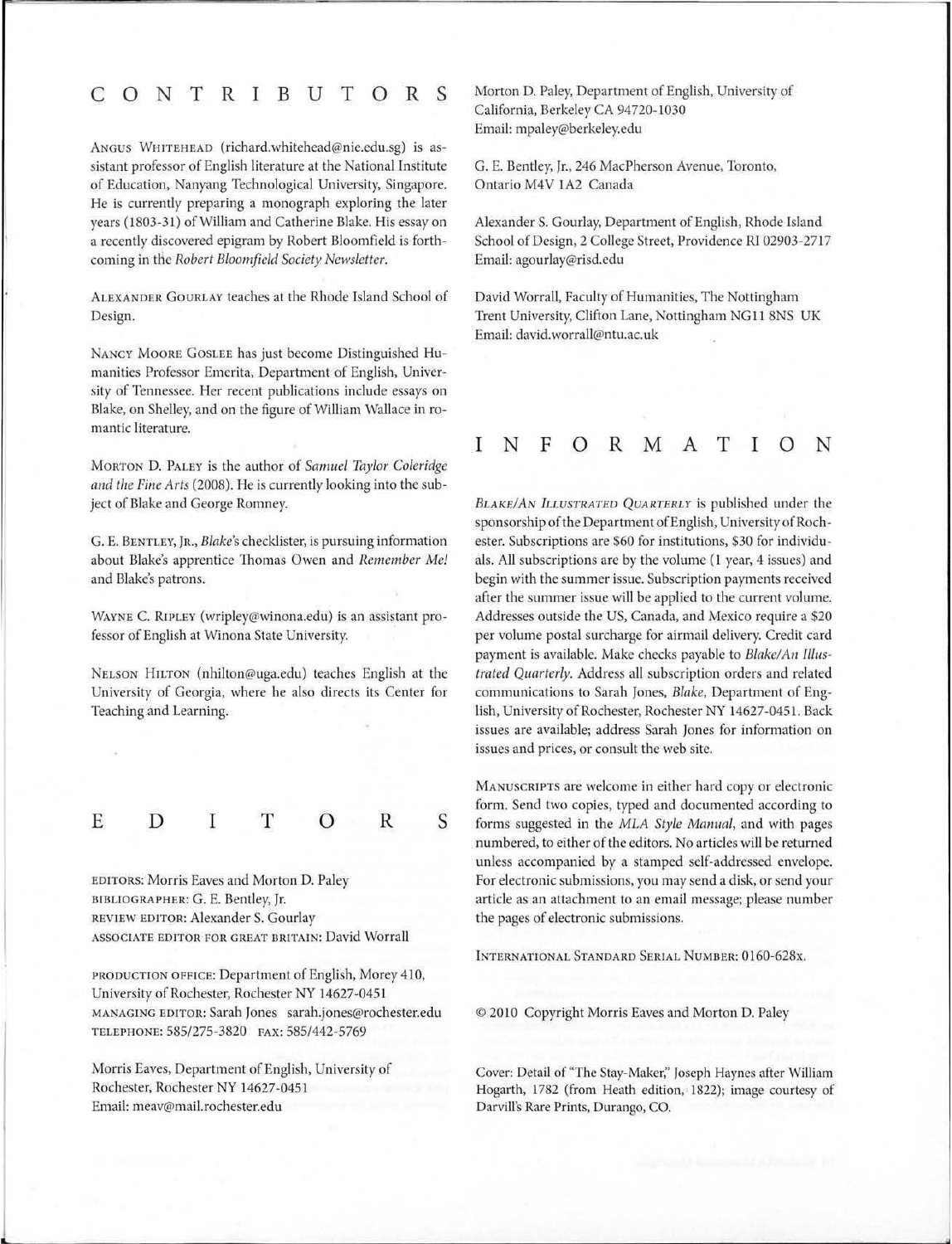#### **CONTRIBUTORS**

ANGUS WHITEHEAD (richard.whitehead@nie.edu.sg) is assistant professor of English literature at the National Institute of Education, Nanyang Technological University, Singapore. He is currently preparing a monograph exploring the later years (1803-31) of William and Catherine Blake. His essay on a recently discovered epigram by Robert Bloomfield is forthcoming in the *Robert Bloomfield Society Newsletter*.

ALEXANDER GouRLAY teaches at the Rhode Island School of Design.

NANCY MOORE GOSLEE has just become Distinguished Humanities Professor Emerita, Department of English, University of Tennessee. Her recent publications include essays on Blake, on Shelley, and on the figure of William Wallace in romantic literature.

MORTON D. PALEY is the author of *Samuel Taylor Coleridge and the Fine Arts* (2008). He is currently looking into the subject of Blake and George Romney.

G. E. BENTLEY, JR., *Blake's* checklister, is pursuing information about Blake's apprentice Thomas Owen and *Remember Me!*  and Blake's patrons.

WAYNE C. RIPLEY (wripley@winona.edu) is an assistant professor of English at Winona State University.

NELSON HILTON (nhilton@uga.edu) teaches English at the University of Georgia, where he also directs its Center for Teaching and Learning.

E **D** I **T 0 R s** 

EDITORS: Morris Eaves and Morton D. Paley BIBLIOGRAPHER: G. E. Bentley, Jr. REVIEW EDITOR: Alexander S. Gourlay ASSOCIATE EDITOR FOR GREAT BRITAIN: David Worrall

PRODUCTION OFFICE: Department of English, Morey 410, University of Rochester, Rochester NY 14627-0451 MANAGING EDITOR: Sarah Jones sarah.jones@rochester.edu TELEPHONE: 585/275-3820 FAX: 585/442-5769

Morris Eaves, Department of English, University of Rochester, Rochester NY 14627-0451 Email: meav@mail.rochester.edu

Morton D. Paley, Department of English, University of California, Berkeley CA 94720-1030 Email: mpaley@berkeley.edu

G. E. Bentley, Jr., 246 MacPherson Avenue, Toronto, Ontario M4V 1A2 Canada

Alexander S. Gourlay, Department of English, Rhode Island School of Design, 2 College Street, Providence RI 02903-2717 Email: agourlay@risd.edu

David Worrall, Faculty of Humanities, The Nottingham Trent University, Clifton Lane, Nottingham NG 11 SNS UK Email: david.worrall@ntu.ac.uk

#### **INFORMATION**

*BLAKE/AN ILLUSTRATED QUARTERLY* is published under the sponsorship of the Department of English, University of Rochester. Subscriptions are \$60 for institutions, \$30 for individuals. All subscriptions are by the volume (1 year, 4 issues) and begin with the summer issue. Subscription payments received after the summer issue will be applied to the current volume. Addresses outside the US, Canada, and Mexico require a \$20 per volume postal surcharge for airmail delivery. Credit card payment is available. Make checks payable to *Blake/ An Illustrated Quarterly.* Address all subscription orders and related communications to Sarah Jones, *Blake,* Department of English, University of Rochester, Rochester NY 14627-0451. Back issues are available; address Sarah Jones for information on issues and prices, or consult the web site.

MANUSCRIPTS are welcome in either hard copy or electronic form. Send two copies, typed and documented according to forms suggested in the *MLA Style Manual,* and with pages numbered, to either of the editors. No articles will be returned unless accompanied by a stamped self-addressed envelope. For electronic submissions, you may send a disk, or send your article as an attachment to an email message; please number the pages of electronic submissions.

INTERNATIONAL STANDARD SERIAL NUMBER: 0160-628x.

© 2010 Copyright Morris Eaves and Morton D. Paley

Cover: Detail of "The Stay-Maker:' Joseph Haynes after William Hogarth, 1782 (from Heath edition, 1822); image courtesy of Darvill's Rare Prints, Durango, CO.